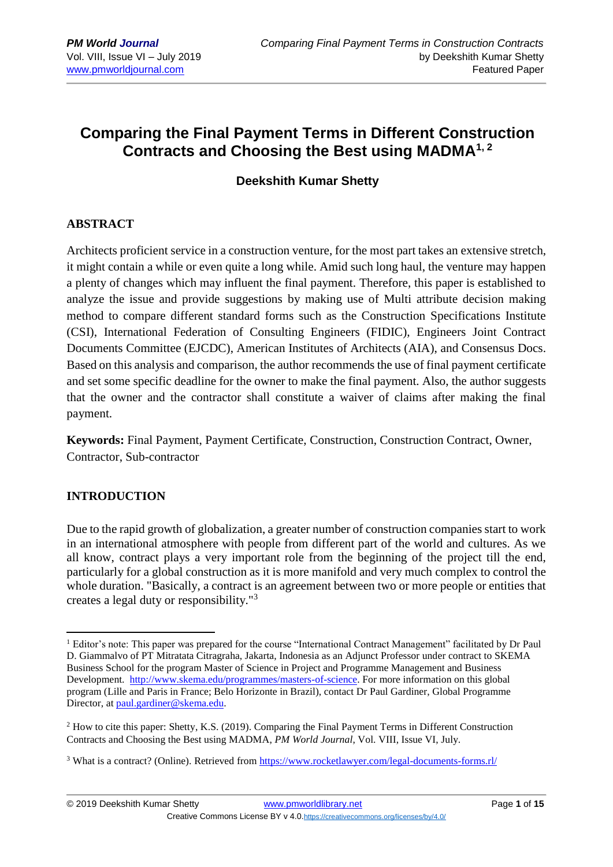# **Comparing the Final Payment Terms in Different Construction Contracts and Choosing the Best using MADMA1, 2**

### **Deekshith Kumar Shetty**

### **ABSTRACT**

Architects proficient service in a construction venture, for the most part takes an extensive stretch, it might contain a while or even quite a long while. Amid such long haul, the venture may happen a plenty of changes which may influent the final payment. Therefore, this paper is established to analyze the issue and provide suggestions by making use of Multi attribute decision making method to compare different standard forms such as the Construction Specifications Institute (CSI), International Federation of Consulting Engineers (FIDIC), Engineers Joint Contract Documents Committee (EJCDC), American Institutes of Architects (AIA), and Consensus Docs. Based on this analysis and comparison, the author recommends the use of final payment certificate and set some specific deadline for the owner to make the final payment. Also, the author suggests that the owner and the contractor shall constitute a waiver of claims after making the final payment.

**Keywords:** Final Payment, Payment Certificate, Construction, Construction Contract, Owner, Contractor, Sub-contractor

### **INTRODUCTION**

1

Due to the rapid growth of globalization, a greater number of construction companies start to work in an international atmosphere with people from different part of the world and cultures. As we all know, contract plays a very important role from the beginning of the project till the end, particularly for a global construction as it is more manifold and very much complex to control the whole duration. "Basically, a contract is an agreement between two or more people or entities that creates a legal duty or responsibility."<sup>3</sup>

<sup>&</sup>lt;sup>1</sup> Editor's note: This paper was prepared for the course "International Contract Management" facilitated by Dr Paul D. Giammalvo of PT Mitratata Citragraha, Jakarta, Indonesia as an Adjunct Professor under contract to SKEMA Business School for the program Master of Science in Project and Programme Management and Business Development. [http://www.skema.edu/programmes/masters-of-science.](http://www.skema.edu/programmes/masters-of-science) For more information on this global program (Lille and Paris in France; Belo Horizonte in Brazil), contact Dr Paul Gardiner, Global Programme Director, at [paul.gardiner@skema.edu.](mailto:paul.gardiner@skema.edu)

<sup>2</sup> How to cite this paper: Shetty, K.S. (2019). Comparing the Final Payment Terms in Different Construction Contracts and Choosing the Best using MADMA, *PM World Journal*, Vol. VIII, Issue VI, July.

<sup>3</sup> What is a contract? (Online). Retrieved from<https://www.rocketlawyer.com/legal-documents-forms.rl/>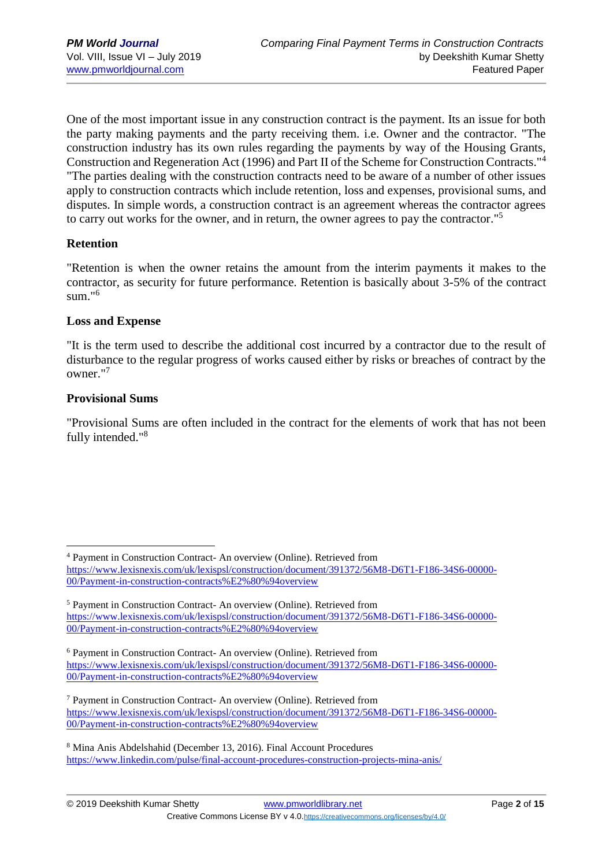One of the most important issue in any construction contract is the payment. Its an issue for both the party making payments and the party receiving them. i.e. Owner and the contractor. "The construction industry has its own rules regarding the payments by way of the Housing Grants, Construction and Regeneration Act (1996) and Part II of the Scheme for Construction Contracts."<sup>4</sup> "The parties dealing with the construction contracts need to be aware of a number of other issues apply to construction contracts which include retention, loss and expenses, provisional sums, and disputes. In simple words, a construction contract is an agreement whereas the contractor agrees to carry out works for the owner, and in return, the owner agrees to pay the contractor."<sup>5</sup>

#### **Retention**

"Retention is when the owner retains the amount from the interim payments it makes to the contractor, as security for future performance. Retention is basically about 3-5% of the contract sum."<sup>6</sup>

#### **Loss and Expense**

"It is the term used to describe the additional cost incurred by a contractor due to the result of disturbance to the regular progress of works caused either by risks or breaches of contract by the owner."<sup>7</sup>

#### **Provisional Sums**

1

"Provisional Sums are often included in the contract for the elements of work that has not been fully intended."<sup>8</sup>

<sup>4</sup> Payment in Construction Contract- An overview (Online). Retrieved from [https://www.lexisnexis.com/uk/lexispsl/construction/document/391372/56M8-D6T1-F186-34S6-00000-](https://www.lexisnexis.com/uk/lexispsl/construction/document/391372/56M8-D6T1-F186-34S6-00000-00/Payment-in-construction-contracts%E2%80%94overview) [00/Payment-in-construction-contracts%E2%80%94overview](https://www.lexisnexis.com/uk/lexispsl/construction/document/391372/56M8-D6T1-F186-34S6-00000-00/Payment-in-construction-contracts%E2%80%94overview)

<sup>5</sup> Payment in Construction Contract- An overview (Online). Retrieved from [https://www.lexisnexis.com/uk/lexispsl/construction/document/391372/56M8-D6T1-F186-34S6-00000-](https://www.lexisnexis.com/uk/lexispsl/construction/document/391372/56M8-D6T1-F186-34S6-00000-00/Payment-in-construction-contracts%E2%80%94overview) [00/Payment-in-construction-contracts%E2%80%94overview](https://www.lexisnexis.com/uk/lexispsl/construction/document/391372/56M8-D6T1-F186-34S6-00000-00/Payment-in-construction-contracts%E2%80%94overview)

<sup>6</sup> Payment in Construction Contract- An overview (Online). Retrieved from [https://www.lexisnexis.com/uk/lexispsl/construction/document/391372/56M8-D6T1-F186-34S6-00000-](https://www.lexisnexis.com/uk/lexispsl/construction/document/391372/56M8-D6T1-F186-34S6-00000-00/Payment-in-construction-contracts%E2%80%94overview) [00/Payment-in-construction-contracts%E2%80%94overview](https://www.lexisnexis.com/uk/lexispsl/construction/document/391372/56M8-D6T1-F186-34S6-00000-00/Payment-in-construction-contracts%E2%80%94overview)

<sup>7</sup> Payment in Construction Contract- An overview (Online). Retrieved from [https://www.lexisnexis.com/uk/lexispsl/construction/document/391372/56M8-D6T1-F186-34S6-00000-](https://www.lexisnexis.com/uk/lexispsl/construction/document/391372/56M8-D6T1-F186-34S6-00000-00/Payment-in-construction-contracts%E2%80%94overview) [00/Payment-in-construction-contracts%E2%80%94overview](https://www.lexisnexis.com/uk/lexispsl/construction/document/391372/56M8-D6T1-F186-34S6-00000-00/Payment-in-construction-contracts%E2%80%94overview)

<sup>8</sup> Mina Anis Abdelshahid (December 13, 2016). Final Account Procedures <https://www.linkedin.com/pulse/final-account-procedures-construction-projects-mina-anis/>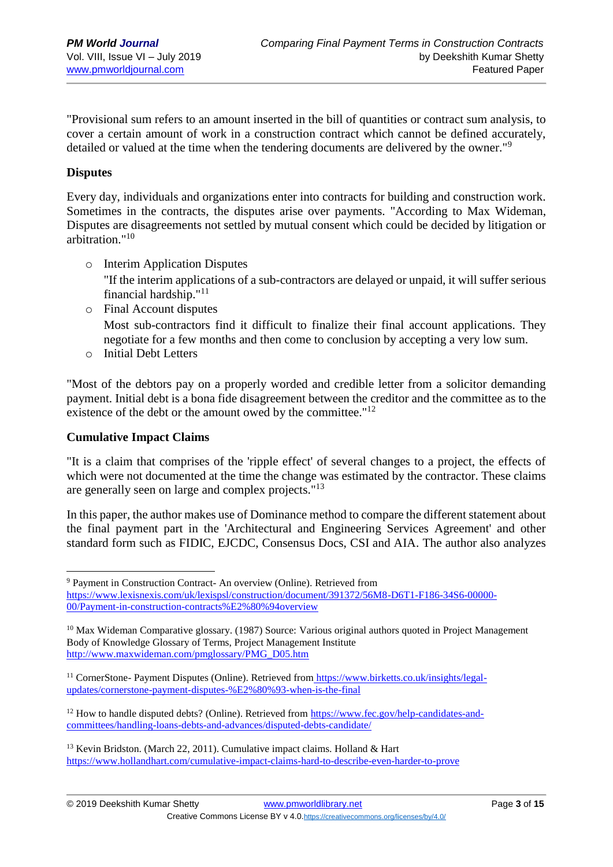"Provisional sum refers to an amount inserted in the bill of quantities or contract sum analysis, to cover a certain amount of work in a construction contract which cannot be defined accurately, detailed or valued at the time when the tendering documents are delivered by the owner."<sup>9</sup>

#### **Disputes**

Every day, individuals and organizations enter into contracts for building and construction work. Sometimes in the contracts, the disputes arise over payments. "According to Max Wideman, Disputes are disagreements not settled by mutual consent which could be decided by litigation or arbitration."<sup>10</sup>

- o Interim Application Disputes "If the interim applications of a sub-contractors are delayed or unpaid, it will suffer serious financial hardship." $11$
- o Final Account disputes Most sub-contractors find it difficult to finalize their final account applications. They negotiate for a few months and then come to conclusion by accepting a very low sum.
- o Initial Debt Letters

"Most of the debtors pay on a properly worded and credible letter from a solicitor demanding payment. Initial debt is a bona fide disagreement between the creditor and the committee as to the existence of the debt or the amount owed by the committee."<sup>12</sup>

#### **Cumulative Impact Claims**

"It is a claim that comprises of the 'ripple effect' of several changes to a project, the effects of which were not documented at the time the change was estimated by the contractor. These claims are generally seen on large and complex projects."<sup>13</sup>

In this paper, the author makes use of Dominance method to compare the different statement about the final payment part in the 'Architectural and Engineering Services Agreement' and other standard form such as FIDIC, EJCDC, Consensus Docs, CSI and AIA. The author also analyzes

<sup>1</sup> <sup>9</sup> Payment in Construction Contract- An overview (Online). Retrieved from [https://www.lexisnexis.com/uk/lexispsl/construction/document/391372/56M8-D6T1-F186-34S6-00000-](https://www.lexisnexis.com/uk/lexispsl/construction/document/391372/56M8-D6T1-F186-34S6-00000-00/Payment-in-construction-contracts%E2%80%94overview) [00/Payment-in-construction-contracts%E2%80%94overview](https://www.lexisnexis.com/uk/lexispsl/construction/document/391372/56M8-D6T1-F186-34S6-00000-00/Payment-in-construction-contracts%E2%80%94overview)

 $10$  Max Wideman Comparative glossary. (1987) Source: Various original authors quoted in Project Management Body of Knowledge Glossary of Terms, Project Management Institute [http://www.maxwideman.com/pmglossary/PMG\\_D05.htm](http://www.maxwideman.com/pmglossary/PMG_D05.htm)

<sup>&</sup>lt;sup>11</sup> CornerStone- Payment Disputes (Online). Retrieved from [https://www.birketts.co.uk/insights/legal](https://www.birketts.co.uk/insights/legal-updates/cornerstone-payment-disputes-%E2%80%93-when-is-the-final)[updates/cornerstone-payment-disputes-%E2%80%93-when-is-the-final](https://www.birketts.co.uk/insights/legal-updates/cornerstone-payment-disputes-%E2%80%93-when-is-the-final)

<sup>&</sup>lt;sup>12</sup> How to handle disputed debts? (Online). Retrieved from [https://www.fec.gov/help-candidates-and](https://www.fec.gov/help-candidates-and-committees/handling-loans-debts-and-advances/disputed-debts-candidate/)[committees/handling-loans-debts-and-advances/disputed-debts-candidate/](https://www.fec.gov/help-candidates-and-committees/handling-loans-debts-and-advances/disputed-debts-candidate/)

<sup>&</sup>lt;sup>13</sup> Kevin Bridston. (March 22, 2011). Cumulative impact claims. Holland & Hart <https://www.hollandhart.com/cumulative-impact-claims-hard-to-describe-even-harder-to-prove>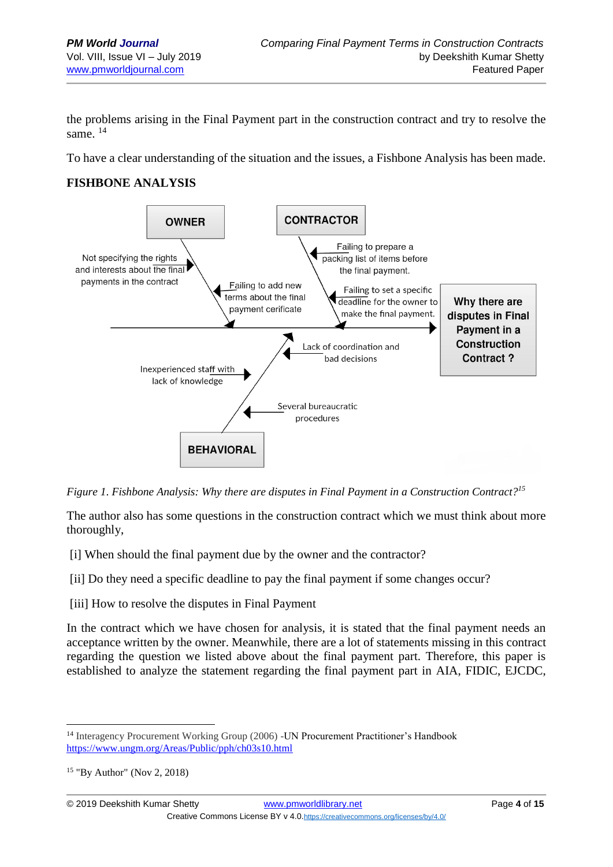the problems arising in the Final Payment part in the construction contract and try to resolve the same. <sup>14</sup>

To have a clear understanding of the situation and the issues, a Fishbone Analysis has been made.

### **FISHBONE ANALYSIS**



*Figure 1*. *Fishbone Analysis: Why there are disputes in Final Payment in a Construction Contract?<sup>15</sup>*

The author also has some questions in the construction contract which we must think about more thoroughly,

[i] When should the final payment due by the owner and the contractor?

[ii] Do they need a specific deadline to pay the final payment if some changes occur?

[iii] How to resolve the disputes in Final Payment

In the contract which we have chosen for analysis, it is stated that the final payment needs an acceptance written by the owner. Meanwhile, there are a lot of statements missing in this contract regarding the question we listed above about the final payment part. Therefore, this paper is established to analyze the statement regarding the final payment part in AIA, FIDIC, EJCDC,

1

<sup>&</sup>lt;sup>14</sup> Interagency Procurement Working Group (2006) -UN Procurement Practitioner's Handbook <https://www.ungm.org/Areas/Public/pph/ch03s10.html>

<sup>15</sup> "By Author" (Nov 2, 2018)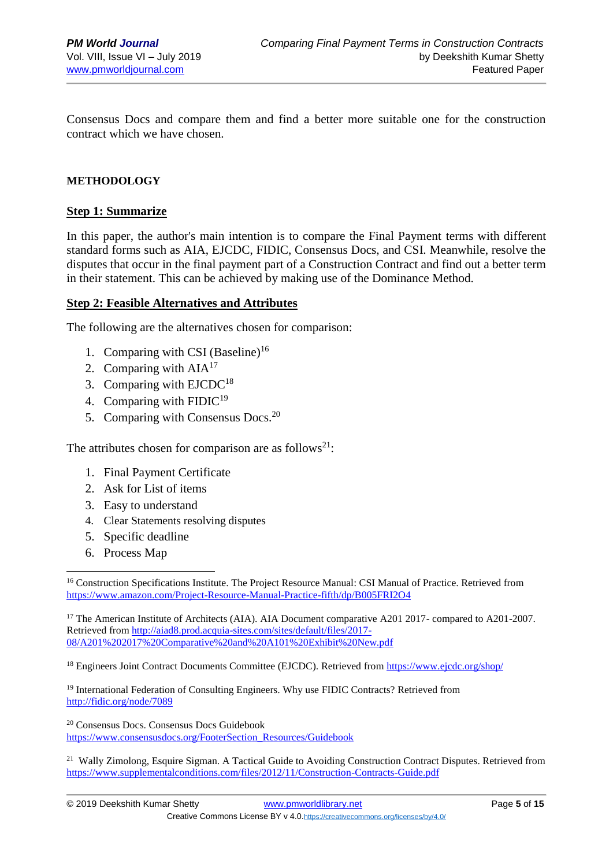Consensus Docs and compare them and find a better more suitable one for the construction contract which we have chosen.

#### **METHODOLOGY**

#### **Step 1: Summarize**

In this paper, the author's main intention is to compare the Final Payment terms with different standard forms such as AIA, EJCDC, FIDIC, Consensus Docs, and CSI. Meanwhile, resolve the disputes that occur in the final payment part of a Construction Contract and find out a better term in their statement. This can be achieved by making use of the Dominance Method.

#### **Step 2: Feasible Alternatives and Attributes**

The following are the alternatives chosen for comparison:

- 1. Comparing with CSI (Baseline)<sup>16</sup>
- 2. Comparing with  $AIA<sup>17</sup>$
- 3. Comparing with  $EJCDC<sup>18</sup>$
- 4. Comparing with  $FIDIC<sup>19</sup>$
- 5. Comparing with Consensus Docs.<sup>20</sup>

The attributes chosen for comparison are as follows<sup>21</sup>:

- 1. Final Payment Certificate
- 2. Ask for List of items
- 3. Easy to understand
- 4. Clear Statements resolving disputes
- 5. Specific deadline
- 6. Process Map

1

<sup>17</sup> The American Institute of Architects (AIA). AIA Document comparative A201 2017- compared to A201-2007. Retrieved from [http://aiad8.prod.acquia-sites.com/sites/default/files/2017-](http://aiad8.prod.acquia-sites.com/sites/default/files/2017-08/A201%202017%20Comparative%20and%20A101%20Exhibit%20New.pdf) [08/A201%202017%20Comparative%20and%20A101%20Exhibit%20New.pdf](http://aiad8.prod.acquia-sites.com/sites/default/files/2017-08/A201%202017%20Comparative%20and%20A101%20Exhibit%20New.pdf)

<sup>18</sup> Engineers Joint Contract Documents Committee (EJCDC). Retrieved fro[m https://www.ejcdc.org/shop/](https://www.ejcdc.org/shop/)

<sup>19</sup> International Federation of Consulting Engineers. Why use FIDIC Contracts? Retrieved from <http://fidic.org/node/7089>

<sup>20</sup> Consensus Docs. Consensus Docs Guidebook [https://www.consensusdocs.org/FooterSection\\_Resources/Guidebook](https://www.consensusdocs.org/FooterSection_Resources/Guidebook)

<sup>21</sup> Wally Zimolong, Esquire Sigman. A Tactical Guide to Avoiding Construction Contract Disputes. Retrieved from <https://www.supplementalconditions.com/files/2012/11/Construction-Contracts-Guide.pdf>

<sup>&</sup>lt;sup>16</sup> Construction Specifications Institute. The Project Resource Manual: CSI Manual of Practice. Retrieved from <https://www.amazon.com/Project-Resource-Manual-Practice-fifth/dp/B005FRI2O4>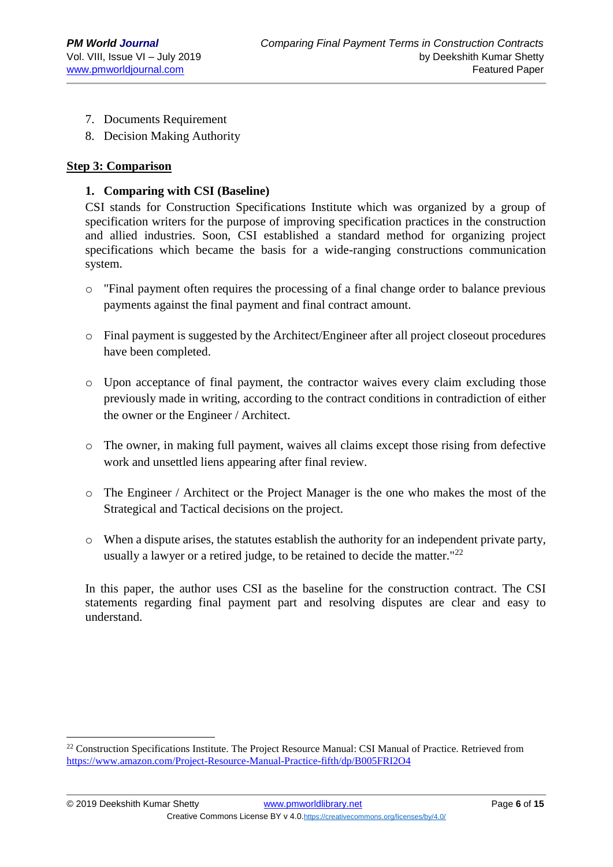- 7. Documents Requirement
- 8. Decision Making Authority

#### **Step 3: Comparison**

1

#### **1. Comparing with CSI (Baseline)**

CSI stands for Construction Specifications Institute which was organized by a group of specification writers for the purpose of improving specification practices in the construction and allied industries. Soon, CSI established a standard method for organizing project specifications which became the basis for a wide-ranging constructions communication system.

- $\circ$  "Final payment often requires the processing of a final change order to balance previous payments against the final payment and final contract amount.
- $\circ$  Final payment is suggested by the Architect/Engineer after all project closeout procedures have been completed.
- o Upon acceptance of final payment, the contractor waives every claim excluding those previously made in writing, according to the contract conditions in contradiction of either the owner or the Engineer / Architect.
- $\circ$  The owner, in making full payment, waives all claims except those rising from defective work and unsettled liens appearing after final review.
- o The Engineer / Architect or the Project Manager is the one who makes the most of the Strategical and Tactical decisions on the project.
- o When a dispute arises, the statutes establish the authority for an independent private party, usually a lawyer or a retired judge, to be retained to decide the matter." $^{22}$

In this paper, the author uses CSI as the baseline for the construction contract. The CSI statements regarding final payment part and resolving disputes are clear and easy to understand.

<sup>&</sup>lt;sup>22</sup> Construction Specifications Institute. The Project Resource Manual: CSI Manual of Practice. Retrieved from <https://www.amazon.com/Project-Resource-Manual-Practice-fifth/dp/B005FRI2O4>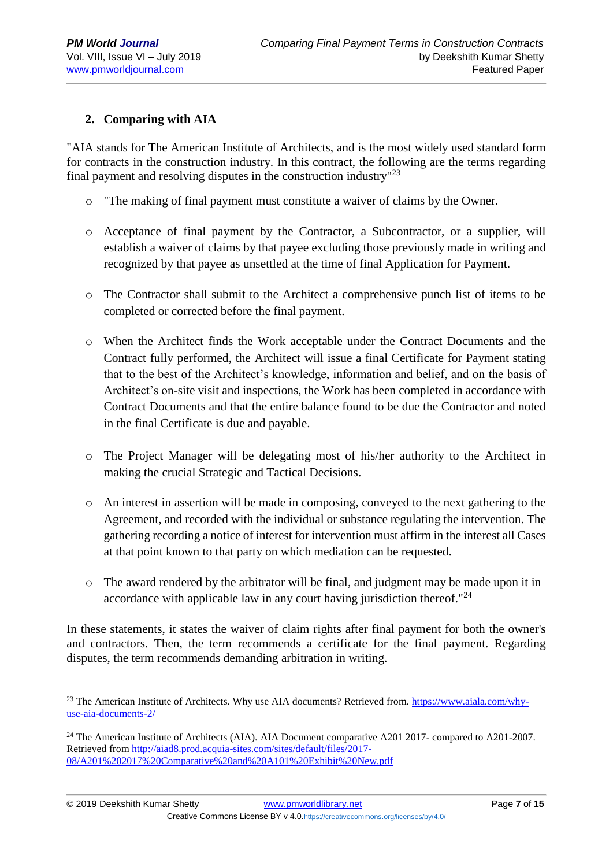### **2. Comparing with AIA**

"AIA stands for The American Institute of Architects, and is the most widely used standard form for contracts in the construction industry. In this contract, the following are the terms regarding final payment and resolving disputes in the construction industry"<sup>23</sup>

- o "The making of final payment must constitute a waiver of claims by the Owner.
- o Acceptance of final payment by the Contractor, a Subcontractor, or a supplier, will establish a waiver of claims by that payee excluding those previously made in writing and recognized by that payee as unsettled at the time of final Application for Payment.
- o The Contractor shall submit to the Architect a comprehensive punch list of items to be completed or corrected before the final payment.
- o When the Architect finds the Work acceptable under the Contract Documents and the Contract fully performed, the Architect will issue a final Certificate for Payment stating that to the best of the Architect's knowledge, information and belief, and on the basis of Architect's on-site visit and inspections, the Work has been completed in accordance with Contract Documents and that the entire balance found to be due the Contractor and noted in the final Certificate is due and payable.
- o The Project Manager will be delegating most of his/her authority to the Architect in making the crucial Strategic and Tactical Decisions.
- o An interest in assertion will be made in composing, conveyed to the next gathering to the Agreement, and recorded with the individual or substance regulating the intervention. The gathering recording a notice of interest for intervention must affirm in the interest all Cases at that point known to that party on which mediation can be requested.
- o The award rendered by the arbitrator will be final, and judgment may be made upon it in accordance with applicable law in any court having jurisdiction thereof."<sup>24</sup>

In these statements, it states the waiver of claim rights after final payment for both the owner's and contractors. Then, the term recommends a certificate for the final payment. Regarding disputes, the term recommends demanding arbitration in writing.

<sup>1</sup> <sup>23</sup> The American Institute of Architects. Why use AIA documents? Retrieved from. [https://www.aiala.com/why](https://www.aiala.com/why-use-aia-documents-2/)[use-aia-documents-2/](https://www.aiala.com/why-use-aia-documents-2/)

<sup>&</sup>lt;sup>24</sup> The American Institute of Architects (AIA). AIA Document comparative A201 2017- compared to A201-2007. Retrieved from [http://aiad8.prod.acquia-sites.com/sites/default/files/2017-](http://aiad8.prod.acquia-sites.com/sites/default/files/2017-08/A201%202017%20Comparative%20and%20A101%20Exhibit%20New.pdf) [08/A201%202017%20Comparative%20and%20A101%20Exhibit%20New.pdf](http://aiad8.prod.acquia-sites.com/sites/default/files/2017-08/A201%202017%20Comparative%20and%20A101%20Exhibit%20New.pdf)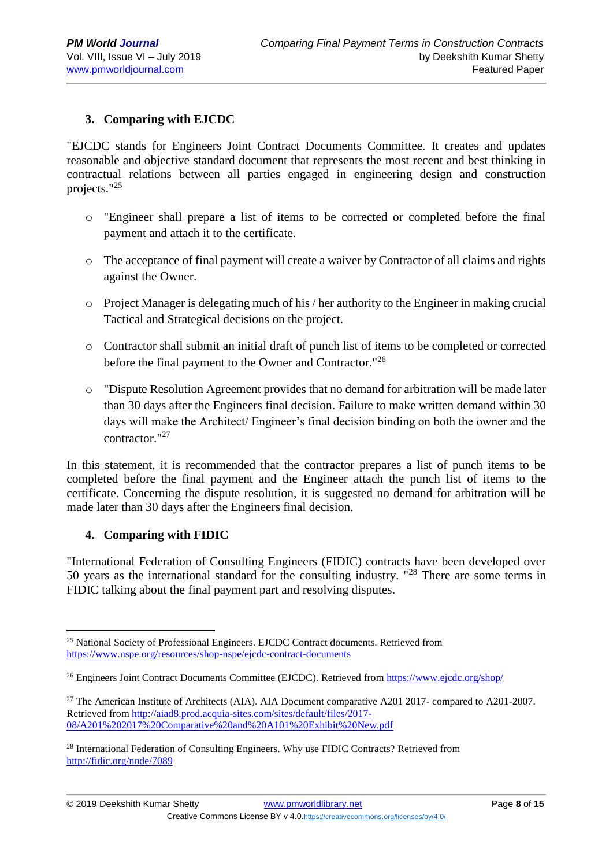### **3. Comparing with EJCDC**

"EJCDC stands for Engineers Joint Contract Documents Committee. It creates and updates reasonable and objective standard document that represents the most recent and best thinking in contractual relations between all parties engaged in engineering design and construction projects."<sup>25</sup>

- o "Engineer shall prepare a list of items to be corrected or completed before the final payment and attach it to the certificate.
- o The acceptance of final payment will create a waiver by Contractor of all claims and rights against the Owner.
- $\circ$  Project Manager is delegating much of his / her authority to the Engineer in making crucial Tactical and Strategical decisions on the project.
- o Contractor shall submit an initial draft of punch list of items to be completed or corrected before the final payment to the Owner and Contractor."<sup>26</sup>
- o "Dispute Resolution Agreement provides that no demand for arbitration will be made later than 30 days after the Engineers final decision. Failure to make written demand within 30 days will make the Architect/ Engineer's final decision binding on both the owner and the contractor."<sup>27</sup>

In this statement, it is recommended that the contractor prepares a list of punch items to be completed before the final payment and the Engineer attach the punch list of items to the certificate. Concerning the dispute resolution, it is suggested no demand for arbitration will be made later than 30 days after the Engineers final decision.

#### **4. Comparing with FIDIC**

"International Federation of Consulting Engineers (FIDIC) contracts have been developed over 50 years as the international standard for the consulting industry. "<sup>28</sup> There are some terms in FIDIC talking about the final payment part and resolving disputes.

<sup>1</sup> <sup>25</sup> National Society of Professional Engineers. EJCDC Contract documents. Retrieved from <https://www.nspe.org/resources/shop-nspe/ejcdc-contract-documents>

<sup>&</sup>lt;sup>26</sup> Engineers Joint Contract Documents Committee (EJCDC). Retrieved fro[m https://www.ejcdc.org/shop/](https://www.ejcdc.org/shop/)

<sup>&</sup>lt;sup>27</sup> The American Institute of Architects (AIA). AIA Document comparative A201 2017- compared to A201-2007. Retrieved from [http://aiad8.prod.acquia-sites.com/sites/default/files/2017-](http://aiad8.prod.acquia-sites.com/sites/default/files/2017-08/A201%202017%20Comparative%20and%20A101%20Exhibit%20New.pdf) [08/A201%202017%20Comparative%20and%20A101%20Exhibit%20New.pdf](http://aiad8.prod.acquia-sites.com/sites/default/files/2017-08/A201%202017%20Comparative%20and%20A101%20Exhibit%20New.pdf)

<sup>&</sup>lt;sup>28</sup> International Federation of Consulting Engineers. Why use FIDIC Contracts? Retrieved from <http://fidic.org/node/7089>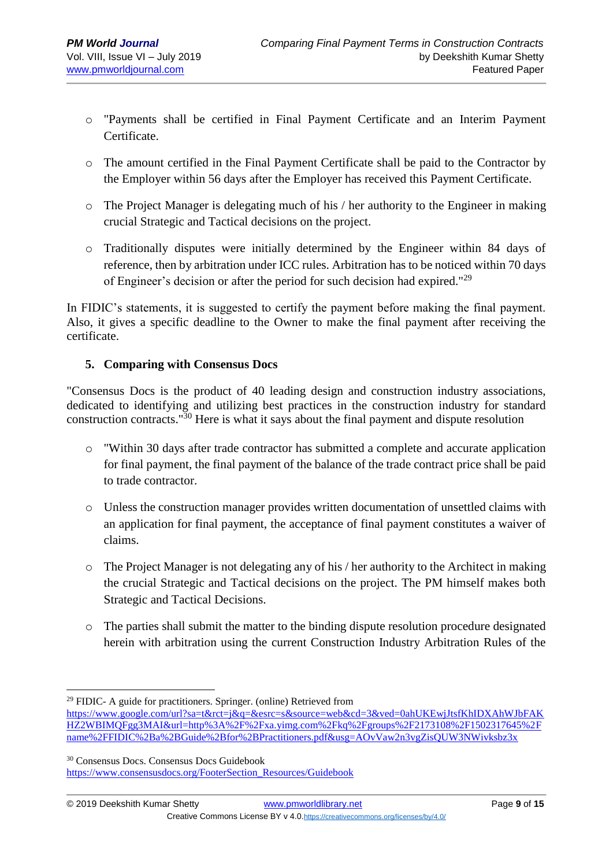- o "Payments shall be certified in Final Payment Certificate and an Interim Payment Certificate.
- o The amount certified in the Final Payment Certificate shall be paid to the Contractor by the Employer within 56 days after the Employer has received this Payment Certificate.
- o The Project Manager is delegating much of his / her authority to the Engineer in making crucial Strategic and Tactical decisions on the project.
- o Traditionally disputes were initially determined by the Engineer within 84 days of reference, then by arbitration under ICC rules. Arbitration has to be noticed within 70 days of Engineer's decision or after the period for such decision had expired."<sup>29</sup>

In FIDIC's statements, it is suggested to certify the payment before making the final payment. Also, it gives a specific deadline to the Owner to make the final payment after receiving the certificate.

### **5. Comparing with Consensus Docs**

"Consensus Docs is the product of 40 leading design and construction industry associations, dedicated to identifying and utilizing best practices in the construction industry for standard construction contracts."<sup>30</sup> Here is what it says about the final payment and dispute resolution

- o "Within 30 days after trade contractor has submitted a complete and accurate application for final payment, the final payment of the balance of the trade contract price shall be paid to trade contractor.
- o Unless the construction manager provides written documentation of unsettled claims with an application for final payment, the acceptance of final payment constitutes a waiver of claims.
- o The Project Manager is not delegating any of his / her authority to the Architect in making the crucial Strategic and Tactical decisions on the project. The PM himself makes both Strategic and Tactical Decisions.
- o The parties shall submit the matter to the binding dispute resolution procedure designated herein with arbitration using the current Construction Industry Arbitration Rules of the

<sup>30</sup> Consensus Docs. Consensus Docs Guidebook [https://www.consensusdocs.org/FooterSection\\_Resources/Guidebook](https://www.consensusdocs.org/FooterSection_Resources/Guidebook)

<sup>1</sup>  $29$  FIDIC- A guide for practitioners. Springer. (online) Retrieved from

[https://www.google.com/url?sa=t&rct=j&q=&esrc=s&source=web&cd=3&ved=0ahUKEwjJtsfKhIDXAhWJbFAK](https://www.google.com/url?sa=t&rct=j&q=&esrc=s&source=web&cd=3&ved=0ahUKEwjJtsfKhIDXAhWJbFAKHZ2WBIMQFgg3MAI&url=http%3A%2F%2Fxa.yimg.com%2Fkq%2Fgroups%2F2173108%2F1502317645%2Fname%2FFIDIC%2Ba%2BGuide%2Bfor%2BPractitioners.pdf&usg=AOvVaw2n3vgZisQUW3NWivksbz3x) [HZ2WBIMQFgg3MAI&url=http%3A%2F%2Fxa.yimg.com%2Fkq%2Fgroups%2F2173108%2F1502317645%2F](https://www.google.com/url?sa=t&rct=j&q=&esrc=s&source=web&cd=3&ved=0ahUKEwjJtsfKhIDXAhWJbFAKHZ2WBIMQFgg3MAI&url=http%3A%2F%2Fxa.yimg.com%2Fkq%2Fgroups%2F2173108%2F1502317645%2Fname%2FFIDIC%2Ba%2BGuide%2Bfor%2BPractitioners.pdf&usg=AOvVaw2n3vgZisQUW3NWivksbz3x) [name%2FFIDIC%2Ba%2BGuide%2Bfor%2BPractitioners.pdf&usg=AOvVaw2n3vgZisQUW3NWivksbz3x](https://www.google.com/url?sa=t&rct=j&q=&esrc=s&source=web&cd=3&ved=0ahUKEwjJtsfKhIDXAhWJbFAKHZ2WBIMQFgg3MAI&url=http%3A%2F%2Fxa.yimg.com%2Fkq%2Fgroups%2F2173108%2F1502317645%2Fname%2FFIDIC%2Ba%2BGuide%2Bfor%2BPractitioners.pdf&usg=AOvVaw2n3vgZisQUW3NWivksbz3x)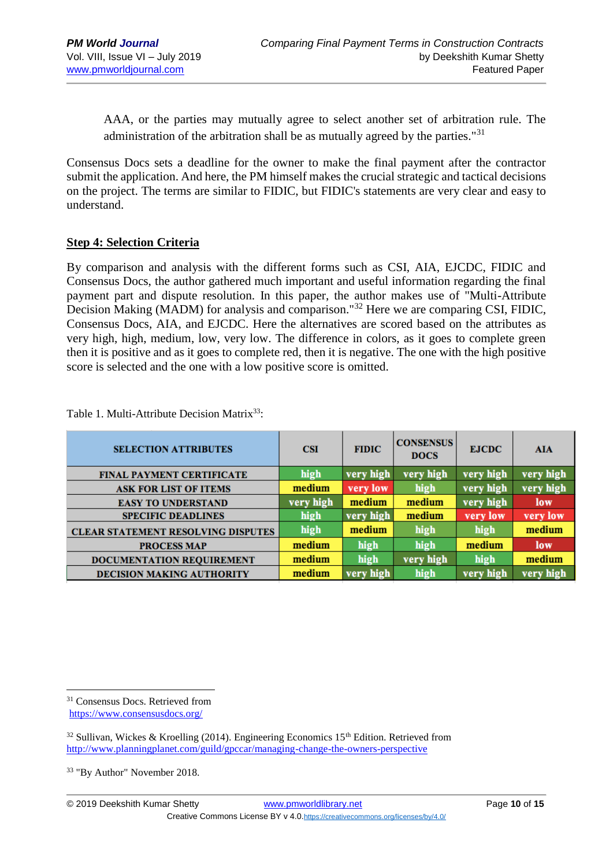AAA, or the parties may mutually agree to select another set of arbitration rule. The administration of the arbitration shall be as mutually agreed by the parties." $31$ 

Consensus Docs sets a deadline for the owner to make the final payment after the contractor submit the application. And here, the PM himself makes the crucial strategic and tactical decisions on the project. The terms are similar to FIDIC, but FIDIC's statements are very clear and easy to understand.

#### **Step 4: Selection Criteria**

By comparison and analysis with the different forms such as CSI, AIA, EJCDC, FIDIC and Consensus Docs, the author gathered much important and useful information regarding the final payment part and dispute resolution. In this paper, the author makes use of "Multi-Attribute Decision Making (MADM) for analysis and comparison."<sup>32</sup> Here we are comparing CSI, FIDIC, Consensus Docs, AIA, and EJCDC. Here the alternatives are scored based on the attributes as very high, high, medium, low, very low. The difference in colors, as it goes to complete green then it is positive and as it goes to complete red, then it is negative. The one with the high positive score is selected and the one with a low positive score is omitted.

| <b>SELECTION ATTRIBUTES</b>               | <b>CSI</b> | <b>FIDIC</b> | <b>CONSENSUS</b><br><b>DOCS</b> | <b>EJCDC</b> | <b>AIA</b> |
|-------------------------------------------|------------|--------------|---------------------------------|--------------|------------|
| <b>FINAL PAYMENT CERTIFICATE</b>          | high       | very high    | very high                       | very high    | very high  |
| <b>ASK FOR LIST OF ITEMS</b>              | medium     | very low     | high                            | very high    | very high  |
| <b>EASY TO UNDERSTAND</b>                 | very high  | medium       | medium                          | very high    | low        |
| <b>SPECIFIC DEADLINES</b>                 | high       | very high    | medium                          | very low     | very low   |
| <b>CLEAR STATEMENT RESOLVING DISPUTES</b> | high       | medium       | high                            | high         | medium     |
| <b>PROCESS MAP</b>                        | medium     | high         | high                            | medium       | low        |
| DOCUMENTATION REQUIREMENT                 | medium     | high         | very high                       | high         | medium     |
| <b>DECISION MAKING AUTHORITY</b>          | medium     | very high    | high                            | very high    | very high  |

Table 1. Multi-Attribute Decision Matrix<sup>33</sup>:

1

<sup>31</sup> Consensus Docs. Retrieved from <https://www.consensusdocs.org/>

 $32$  Sullivan, Wickes & Kroelling (2014). Engineering Economics 15<sup>th</sup> Edition. Retrieved from <http://www.planningplanet.com/guild/gpccar/managing-change-the-owners-perspective>

<sup>33</sup> "By Author" November 2018.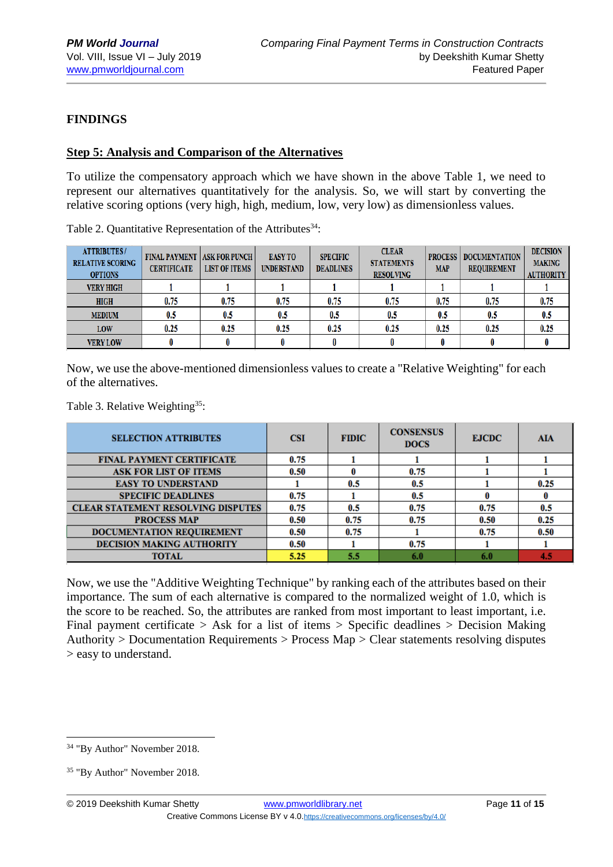### **FINDINGS**

#### **Step 5: Analysis and Comparison of the Alternatives**

To utilize the compensatory approach which we have shown in the above Table 1, we need to represent our alternatives quantitatively for the analysis. So, we will start by converting the relative scoring options (very high, high, medium, low, very low) as dimensionless values.

| <b>ATTRIBUTES/</b><br><b>RELATIVE SCORING</b><br><b>OPTIONS</b> | <b>FINAL PAYMENT   ASK FOR PUNCH  </b><br><b>CERTIFICATE</b> | <b>LIST OF ITEMS</b> | <b>EASY TO</b><br><b>UNDERSTAND</b> | <b>SPECIFIC</b><br><b>DEADLINES</b> | <b>CLEAR</b><br><b>STATEMENTS</b><br><b>RESOLVING</b> | <b>PROCESS</b><br><b>MAP</b> | <b>DOCUMENTATION</b><br><b>REQUIREMENT</b> | <b>DECISION</b><br><b>MAKING</b><br><b>AUTHORITY</b> |
|-----------------------------------------------------------------|--------------------------------------------------------------|----------------------|-------------------------------------|-------------------------------------|-------------------------------------------------------|------------------------------|--------------------------------------------|------------------------------------------------------|
| <b>VERY HIGH</b>                                                |                                                              |                      |                                     |                                     |                                                       |                              |                                            |                                                      |
| <b>HIGH</b>                                                     | 0.75                                                         | 0.75                 | 0.75                                | 0.75                                | 0.75                                                  | 0.75                         | 0.75                                       | 0.75                                                 |
| <b>MEDIUM</b>                                                   | 0.5                                                          | 0.5                  | 0.5                                 | 0.5                                 | 0.5                                                   | 0.5                          | 0.5                                        | $0.5\,$                                              |
| LOW                                                             | 0.25                                                         | 0.25                 | 0.25                                | 0.25                                | 0.25                                                  | 0.25                         | 0.25                                       | 0.25                                                 |
| <b>VERY LOW</b>                                                 |                                                              |                      |                                     |                                     |                                                       |                              |                                            |                                                      |

Table 2. Quantitative Representation of the Attributes $34$ :

Now, we use the above-mentioned dimensionless values to create a "Relative Weighting" for each of the alternatives.

Table 3. Relative Weighting<sup>35</sup>:

| <b>SELECTION ATTRIBUTES</b>               | <b>CSI</b> | <b>FIDIC</b> | <b>CONSENSUS</b><br><b>DOCS</b> | <b>EJCDC</b> | AIA  |
|-------------------------------------------|------------|--------------|---------------------------------|--------------|------|
| <b>FINAL PAYMENT CERTIFICATE</b>          | 0.75       |              |                                 |              |      |
| <b>ASK FOR LIST OF ITEMS</b>              | 0.50       | 0            | 0.75                            |              |      |
| <b>EASY TO UNDERSTAND</b>                 |            | 0.5          | 0.5                             |              | 0.25 |
| <b>SPECIFIC DEADLINES</b>                 | 0.75       |              | 0.5                             |              |      |
| <b>CLEAR STATEMENT RESOLVING DISPUTES</b> | 0.75       | 0.5          | 0.75                            | 0.75         | 0.5  |
| <b>PROCESS MAP</b>                        | 0.50       | 0.75         | 0.75                            | 0.50         | 0.25 |
| DOCUMENTATION REQUIREMENT                 | 0.50       | 0.75         |                                 | 0.75         | 0.50 |
| <b>DECISION MAKING AUTHORITY</b>          | 0.50       |              | 0.75                            |              |      |
| <b>TOTAL</b>                              | 5.25       | 5.5          | 6.0                             | 6.0          | 4.5  |

Now, we use the "Additive Weighting Technique" by ranking each of the attributes based on their importance. The sum of each alternative is compared to the normalized weight of 1.0, which is the score to be reached. So, the attributes are ranked from most important to least important, i.e. Final payment certificate > Ask for a list of items > Specific deadlines > Decision Making Authority > Documentation Requirements > Process Map > Clear statements resolving disputes > easy to understand.

1

<sup>34</sup> "By Author" November 2018.

<sup>35</sup> "By Author" November 2018.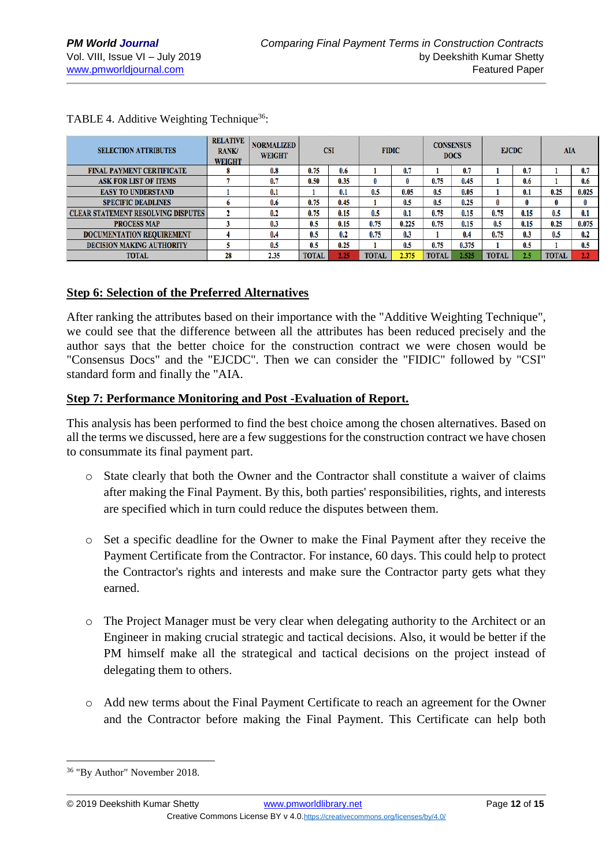| <b>SELECTION ATTRIBUTES</b>               | <b>RELATIVE</b><br><b>RANK/</b><br><b>WEIGHT</b> | <b>NORMALIZED</b><br><b>WEIGHT</b> | <b>CSI</b> |      | <b>FIDIC</b> |       | <b>CONSENSUS</b><br><b>DOCS</b> |       | <b>EJCDC</b> |      | AIA          |       |
|-------------------------------------------|--------------------------------------------------|------------------------------------|------------|------|--------------|-------|---------------------------------|-------|--------------|------|--------------|-------|
| <b>FINAL PAYMENT CERTIFICATE</b>          |                                                  | 0.8                                | 0.75       | 0.6  |              | 0.7   |                                 | 0.7   |              | 0.7  |              | 0.7   |
| <b>ASK FOR LIST OF ITEMS</b>              |                                                  | 0.7                                | 0.50       | 0.35 | $\bf{0}$     | 0     | 0.75                            | 0.45  |              | 0.6  |              | 0.6   |
| <b>EASY TO UNDERSTAND</b>                 |                                                  | 0.1                                |            | 0.1  | 0.5          | 0.05  | 0.5                             | 0.05  |              | 0.1  | 0.25         | 0.025 |
| <b>SPECIFIC DEADLINES</b>                 | n                                                | 0.6                                | 0.75       | 0.45 |              | 0.5   | 0.5                             | 0.25  |              |      | 0            | 0     |
| <b>CLEAR STATEMENT RESOLVING DISPUTES</b> |                                                  | 0.2                                | 0.75       | 0.15 | 0.5          | 0.1   | 0.75                            | 0.15  | 0.75         | 0.15 | 0.5          | 0.1   |
| <b>PROCESS MAP</b>                        |                                                  | 0.3                                | 0.5        | 0.15 | 0.75         | 0.225 | 0.75                            | 0.15  | 0.5          | 0.15 | 0.25         | 0.075 |
| <b>DOCUMENTATION REOUIREMENT</b>          |                                                  | 0.4                                | 0.5        | 0.2  | 0.75         | 0.3   |                                 | 0.4   | 0.75         | 0.3  | 0.5          | 0.2   |
| <b>DECISION MAKING AUTHORITY</b>          |                                                  | 0.5                                | 0.5        | 0.25 |              | 0.5   | 0.75                            | 0.375 |              | 0.5  |              | 0.5   |
| <b>TOTAL</b>                              | 28                                               | 2.35                               | TOTAL      | 2.25 | <b>TOTAL</b> | 2.375 | <b>TOTAL</b>                    | 2.525 | <b>TOTAL</b> | 2.5  | <b>TOTAL</b> | 2.2   |

TABLE 4. Additive Weighting Technique<sup>36</sup>:

#### **Step 6: Selection of the Preferred Alternatives**

After ranking the attributes based on their importance with the "Additive Weighting Technique", we could see that the difference between all the attributes has been reduced precisely and the author says that the better choice for the construction contract we were chosen would be "Consensus Docs" and the "EJCDC". Then we can consider the "FIDIC" followed by "CSI" standard form and finally the "AIA.

#### **Step 7: Performance Monitoring and Post -Evaluation of Report.**

This analysis has been performed to find the best choice among the chosen alternatives. Based on all the terms we discussed, here are a few suggestions for the construction contract we have chosen to consummate its final payment part.

- o State clearly that both the Owner and the Contractor shall constitute a waiver of claims after making the Final Payment. By this, both parties' responsibilities, rights, and interests are specified which in turn could reduce the disputes between them.
- o Set a specific deadline for the Owner to make the Final Payment after they receive the Payment Certificate from the Contractor. For instance, 60 days. This could help to protect the Contractor's rights and interests and make sure the Contractor party gets what they earned.
- o The Project Manager must be very clear when delegating authority to the Architect or an Engineer in making crucial strategic and tactical decisions. Also, it would be better if the PM himself make all the strategical and tactical decisions on the project instead of delegating them to others.
- o Add new terms about the Final Payment Certificate to reach an agreement for the Owner and the Contractor before making the Final Payment. This Certificate can help both

<sup>1</sup> <sup>36</sup> "By Author" November 2018.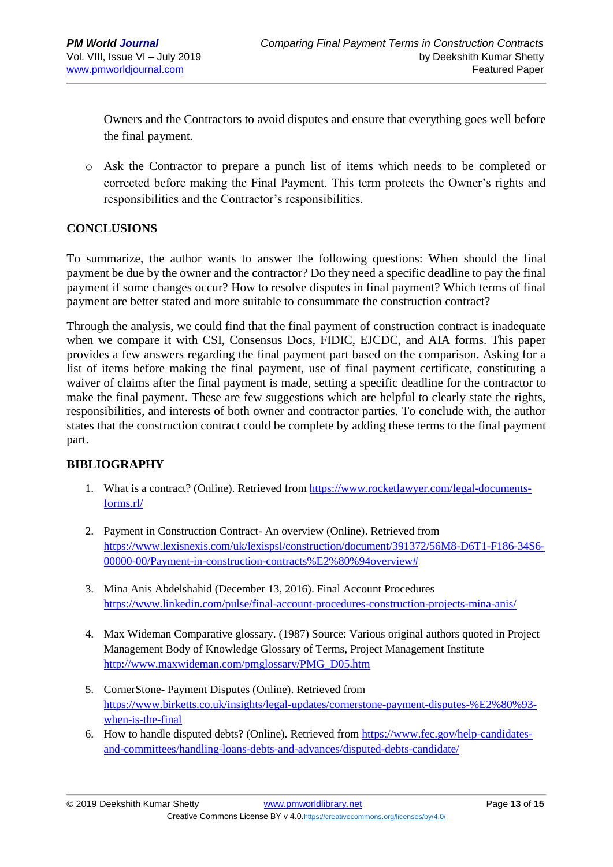Owners and the Contractors to avoid disputes and ensure that everything goes well before the final payment.

o Ask the Contractor to prepare a punch list of items which needs to be completed or corrected before making the Final Payment. This term protects the Owner's rights and responsibilities and the Contractor's responsibilities.

### **CONCLUSIONS**

To summarize, the author wants to answer the following questions: When should the final payment be due by the owner and the contractor? Do they need a specific deadline to pay the final payment if some changes occur? How to resolve disputes in final payment? Which terms of final payment are better stated and more suitable to consummate the construction contract?

Through the analysis, we could find that the final payment of construction contract is inadequate when we compare it with CSI, Consensus Docs, FIDIC, EJCDC, and AIA forms. This paper provides a few answers regarding the final payment part based on the comparison. Asking for a list of items before making the final payment, use of final payment certificate, constituting a waiver of claims after the final payment is made, setting a specific deadline for the contractor to make the final payment. These are few suggestions which are helpful to clearly state the rights, responsibilities, and interests of both owner and contractor parties. To conclude with, the author states that the construction contract could be complete by adding these terms to the final payment part.

### **BIBLIOGRAPHY**

- 1. What is a contract? (Online). Retrieved from [https://www.rocketlawyer.com/legal-documents](https://www.rocketlawyer.com/legal-documents-forms.rl/)[forms.rl/](https://www.rocketlawyer.com/legal-documents-forms.rl/)
- 2. Payment in Construction Contract- An overview (Online). Retrieved from [https://www.lexisnexis.com/uk/lexispsl/construction/document/391372/56M8-D6T1-F186-34S6-](https://www.lexisnexis.com/uk/lexispsl/construction/document/391372/56M8-D6T1-F186-34S6-00000-00/Payment-in-construction-contracts%E2%80%94overview) [00000-00/Payment-in-construction-contracts%E2%80%94overview#](https://www.lexisnexis.com/uk/lexispsl/construction/document/391372/56M8-D6T1-F186-34S6-00000-00/Payment-in-construction-contracts%E2%80%94overview)
- 3. Mina Anis Abdelshahid (December 13, 2016). Final Account Procedures <https://www.linkedin.com/pulse/final-account-procedures-construction-projects-mina-anis/>
- 4. Max Wideman Comparative glossary. (1987) Source: Various original authors quoted in Project Management Body of Knowledge Glossary of Terms, Project Management Institute [http://www.maxwideman.com/pmglossary/PMG\\_D05.htm](http://www.maxwideman.com/pmglossary/PMG_D05.htm)
- 5. CornerStone- Payment Disputes (Online). Retrieved from [https://www.birketts.co.uk/insights/legal-updates/cornerstone-payment-disputes-%E2%80%93](https://www.birketts.co.uk/insights/legal-updates/cornerstone-payment-disputes-%E2%80%93-when-is-the-final) [when-is-the-final](https://www.birketts.co.uk/insights/legal-updates/cornerstone-payment-disputes-%E2%80%93-when-is-the-final)
- 6. How to handle disputed debts? (Online). Retrieved from [https://www.fec.gov/help-candidates](https://www.fec.gov/help-candidates-and-committees/handling-loans-debts-and-advances/disputed-debts-candidate/)[and-committees/handling-loans-debts-and-advances/disputed-debts-candidate/](https://www.fec.gov/help-candidates-and-committees/handling-loans-debts-and-advances/disputed-debts-candidate/)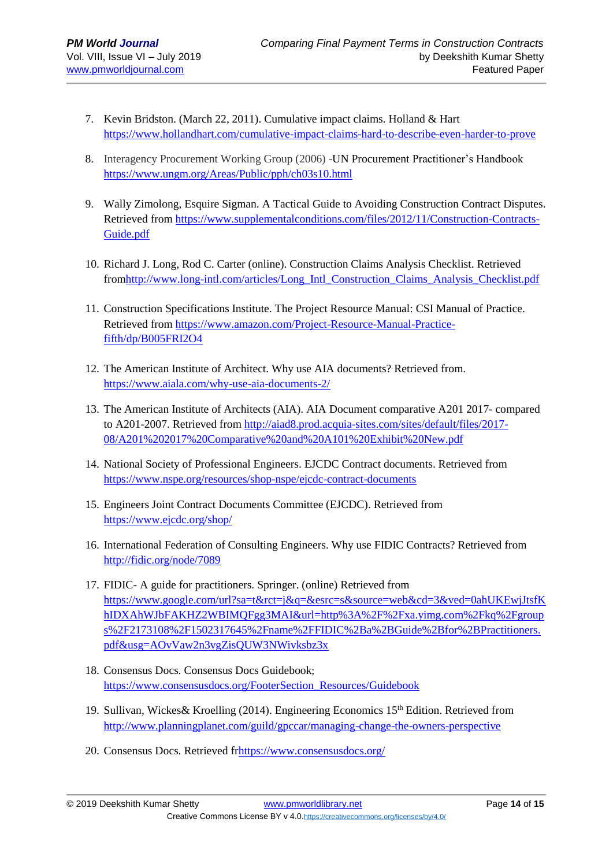- 7. Kevin Bridston. (March 22, 2011). Cumulative impact claims. Holland & Hart <https://www.hollandhart.com/cumulative-impact-claims-hard-to-describe-even-harder-to-prove>
- 8. Interagency Procurement Working Group (2006) -UN Procurement Practitioner's Handbook <https://www.ungm.org/Areas/Public/pph/ch03s10.html>
- 9. Wally Zimolong, Esquire Sigman. A Tactical Guide to Avoiding Construction Contract Disputes. Retrieved from [https://www.supplementalconditions.com/files/2012/11/Construction-Contracts-](https://www.supplementalconditions.com/files/2012/11/Construction-Contracts-Guide.pdf)[Guide.pdf](https://www.supplementalconditions.com/files/2012/11/Construction-Contracts-Guide.pdf)
- 10. Richard J. Long, Rod C. Carter (online). Construction Claims Analysis Checklist. Retrieved fro[mhttp://www.long-intl.com/articles/Long\\_Intl\\_Construction\\_Claims\\_Analysis\\_Checklist.pdf](http://www.long-intl.com/articles/Long_Intl_Construction_Claims_Analysis_Checklist.pdf)
- 11. Construction Specifications Institute. The Project Resource Manual: CSI Manual of Practice. Retrieved from [https://www.amazon.com/Project-Resource-Manual-Practice](https://www.amazon.com/Project-Resource-Manual-Practice-fifth/dp/B005FRI2O4)[fifth/dp/B005FRI2O4](https://www.amazon.com/Project-Resource-Manual-Practice-fifth/dp/B005FRI2O4)
- 12. The American Institute of Architect. Why use AIA documents? Retrieved from. <https://www.aiala.com/why-use-aia-documents-2/>
- 13. The American Institute of Architects (AIA). AIA Document comparative A201 2017- compared to A201-2007. Retrieved from [http://aiad8.prod.acquia-sites.com/sites/default/files/2017-](http://aiad8.prod.acquia-sites.com/sites/default/files/2017-08/A201%202017%20Comparative%20and%20A101%20Exhibit%20New.pdf) [08/A201%202017%20Comparative%20and%20A101%20Exhibit%20New.pdf](http://aiad8.prod.acquia-sites.com/sites/default/files/2017-08/A201%202017%20Comparative%20and%20A101%20Exhibit%20New.pdf)
- 14. National Society of Professional Engineers. EJCDC Contract documents. Retrieved from <https://www.nspe.org/resources/shop-nspe/ejcdc-contract-documents>
- 15. Engineers Joint Contract Documents Committee (EJCDC). Retrieved from <https://www.ejcdc.org/shop/>
- 16. International Federation of Consulting Engineers. Why use FIDIC Contracts? Retrieved from <http://fidic.org/node/7089>
- 17. FIDIC- A guide for practitioners. Springer. (online) Retrieved from [https://www.google.com/url?sa=t&rct=j&q=&esrc=s&source=web&cd=3&ved=0ahUKEwjJtsfK](https://www.google.com/url?sa=t&rct=j&q=&esrc=s&source=web&cd=3&ved=0ahUKEwjJtsfKhIDXAhWJbFAKHZ2WBIMQFgg3MAI&url=http%3A%2F%2Fxa.yimg.com%2Fkq%2Fgroups%2F2173108%2F1502317645%2Fname%2FFIDIC%2Ba%2BGuide%2Bfor%2BPractitioners.pdf&usg=AOvVaw2n3vgZisQUW3NWivksbz3x) [hIDXAhWJbFAKHZ2WBIMQFgg3MAI&url=http%3A%2F%2Fxa.yimg.com%2Fkq%2Fgroup](https://www.google.com/url?sa=t&rct=j&q=&esrc=s&source=web&cd=3&ved=0ahUKEwjJtsfKhIDXAhWJbFAKHZ2WBIMQFgg3MAI&url=http%3A%2F%2Fxa.yimg.com%2Fkq%2Fgroups%2F2173108%2F1502317645%2Fname%2FFIDIC%2Ba%2BGuide%2Bfor%2BPractitioners.pdf&usg=AOvVaw2n3vgZisQUW3NWivksbz3x) [s%2F2173108%2F1502317645%2Fname%2FFIDIC%2Ba%2BGuide%2Bfor%2BPractitioners.](https://www.google.com/url?sa=t&rct=j&q=&esrc=s&source=web&cd=3&ved=0ahUKEwjJtsfKhIDXAhWJbFAKHZ2WBIMQFgg3MAI&url=http%3A%2F%2Fxa.yimg.com%2Fkq%2Fgroups%2F2173108%2F1502317645%2Fname%2FFIDIC%2Ba%2BGuide%2Bfor%2BPractitioners.pdf&usg=AOvVaw2n3vgZisQUW3NWivksbz3x) [pdf&usg=AOvVaw2n3vgZisQUW3NWivksbz3x](https://www.google.com/url?sa=t&rct=j&q=&esrc=s&source=web&cd=3&ved=0ahUKEwjJtsfKhIDXAhWJbFAKHZ2WBIMQFgg3MAI&url=http%3A%2F%2Fxa.yimg.com%2Fkq%2Fgroups%2F2173108%2F1502317645%2Fname%2FFIDIC%2Ba%2BGuide%2Bfor%2BPractitioners.pdf&usg=AOvVaw2n3vgZisQUW3NWivksbz3x)
- 18. Consensus Docs. Consensus Docs Guidebook; [https://www.consensusdocs.org/FooterSection\\_Resources/Guidebook](https://www.consensusdocs.org/FooterSection_Resources/Guidebook)
- 19. Sullivan, Wickes& Kroelling (2014). Engineering Economics 15th Edition. Retrieved from <http://www.planningplanet.com/guild/gpccar/managing-change-the-owners-perspective>
- 20. Consensus Docs. Retrieved f[rhttps://www.consensusdocs.org/](https://www.consensusdocs.org/)